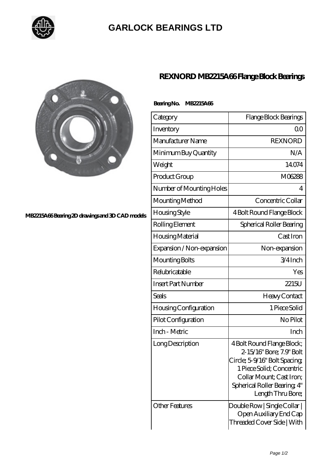

## **[GARLOCK BEARINGS LTD](https://m.letterstopriests.com)**



#### **[MB2215A66 Bearing 2D drawings and 3D CAD models](https://m.letterstopriests.com/pic-188879.html)**

## **[REXNORD MB2215A66 Flange Block Bearings](https://m.letterstopriests.com/bh-188879-rexnord-mb2215a66-flange-block-bearings.html)**

### **Bearing No. MB2215A66**

| Category                  | Flange Block Bearings                                                                                                                                                                                |
|---------------------------|------------------------------------------------------------------------------------------------------------------------------------------------------------------------------------------------------|
| Inventory                 | Q0                                                                                                                                                                                                   |
| Manufacturer Name         | <b>REXNORD</b>                                                                                                                                                                                       |
| Minimum Buy Quantity      | N/A                                                                                                                                                                                                  |
| Weight                    | 14074                                                                                                                                                                                                |
| Product Group             | M06288                                                                                                                                                                                               |
| Number of Mounting Holes  | 4                                                                                                                                                                                                    |
| Mounting Method           | Concentric Collar                                                                                                                                                                                    |
| Housing Style             | 4 Bolt Round Flange Block                                                                                                                                                                            |
| Rolling Element           | Spherical Roller Bearing                                                                                                                                                                             |
| Housing Material          | Cast Iron                                                                                                                                                                                            |
| Expansion / Non-expansion | Non-expansion                                                                                                                                                                                        |
| Mounting Bolts            | 3/4Inch                                                                                                                                                                                              |
| Relubricatable            | Yes                                                                                                                                                                                                  |
| <b>Insert Part Number</b> | 2215U                                                                                                                                                                                                |
| Seals                     | Heavy Contact                                                                                                                                                                                        |
| Housing Configuration     | 1 Piece Solid                                                                                                                                                                                        |
| Pilot Configuration       | No Pilot                                                                                                                                                                                             |
| Inch - Metric             | Inch                                                                                                                                                                                                 |
| Long Description          | 4 Bolt Round Flange Block;<br>2-15/16" Bore; 7.9" Bolt<br>Circle; 5-9/16" Bolt Spacing<br>1 Piece Solid; Concentric<br>Collar Mount; Cast Iron;<br>Spherical Roller Bearing, 4"<br>Length Thru Bore; |
| <b>Other Features</b>     | Double Row   Single Collar  <br>Open Auxiliary End Cap<br>Threaded Cover Side   With                                                                                                                 |